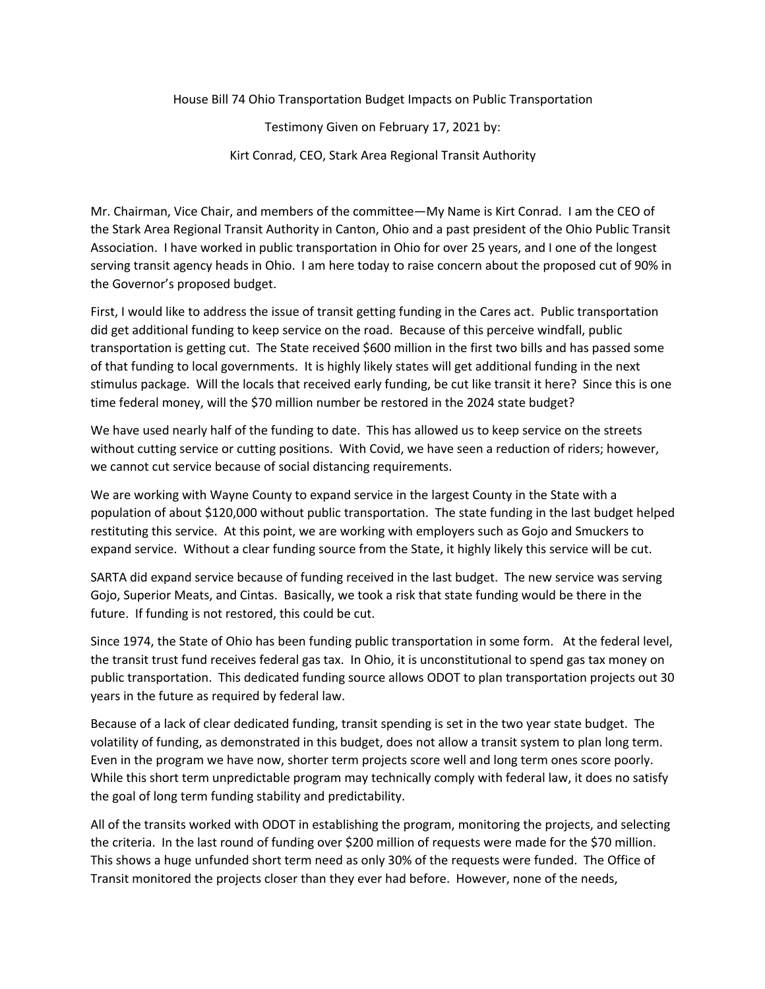House Bill 74 Ohio Transportation Budget Impacts on Public Transportation

Testimony Given on February 17, 2021 by: Kirt Conrad, CEO, Stark Area Regional Transit Authority

Mr. Chairman, Vice Chair, and members of the committee—My Name is Kirt Conrad. I am the CEO of the Stark Area Regional Transit Authority in Canton, Ohio and a past president of the Ohio Public Transit Association. I have worked in public transportation in Ohio for over 25 years, and I one of the longest serving transit agency heads in Ohio. I am here today to raise concern about the proposed cut of 90% in the Governor's proposed budget.

First, I would like to address the issue of transit getting funding in the Cares act. Public transportation did get additional funding to keep service on the road. Because of this perceive windfall, public transportation is getting cut. The State received \$600 million in the first two bills and has passed some of that funding to local governments. It is highly likely states will get additional funding in the next stimulus package. Will the locals that received early funding, be cut like transit it here? Since this is one time federal money, will the \$70 million number be restored in the 2024 state budget?

We have used nearly half of the funding to date. This has allowed us to keep service on the streets without cutting service or cutting positions. With Covid, we have seen a reduction of riders; however, we cannot cut service because of social distancing requirements.

We are working with Wayne County to expand service in the largest County in the State with a population of about \$120,000 without public transportation. The state funding in the last budget helped restituting this service. At this point, we are working with employers such as Gojo and Smuckers to expand service. Without a clear funding source from the State, it highly likely this service will be cut.

SARTA did expand service because of funding received in the last budget. The new service was serving Gojo, Superior Meats, and Cintas. Basically, we took a risk that state funding would be there in the future. If funding is not restored, this could be cut.

Since 1974, the State of Ohio has been funding public transportation in some form. At the federal level, the transit trust fund receives federal gas tax. In Ohio, it is unconstitutional to spend gas tax money on public transportation. This dedicated funding source allows ODOT to plan transportation projects out 30 years in the future as required by federal law.

Because of a lack of clear dedicated funding, transit spending is set in the two year state budget. The volatility of funding, as demonstrated in this budget, does not allow a transit system to plan long term. Even in the program we have now, shorter term projects score well and long term ones score poorly. While this short term unpredictable program may technically comply with federal law, it does no satisfy the goal of long term funding stability and predictability.

All of the transits worked with ODOT in establishing the program, monitoring the projects, and selecting the criteria. In the last round of funding over \$200 million of requests were made for the \$70 million. This shows a huge unfunded short term need as only 30% of the requests were funded. The Office of Transit monitored the projects closer than they ever had before. However, none of the needs,